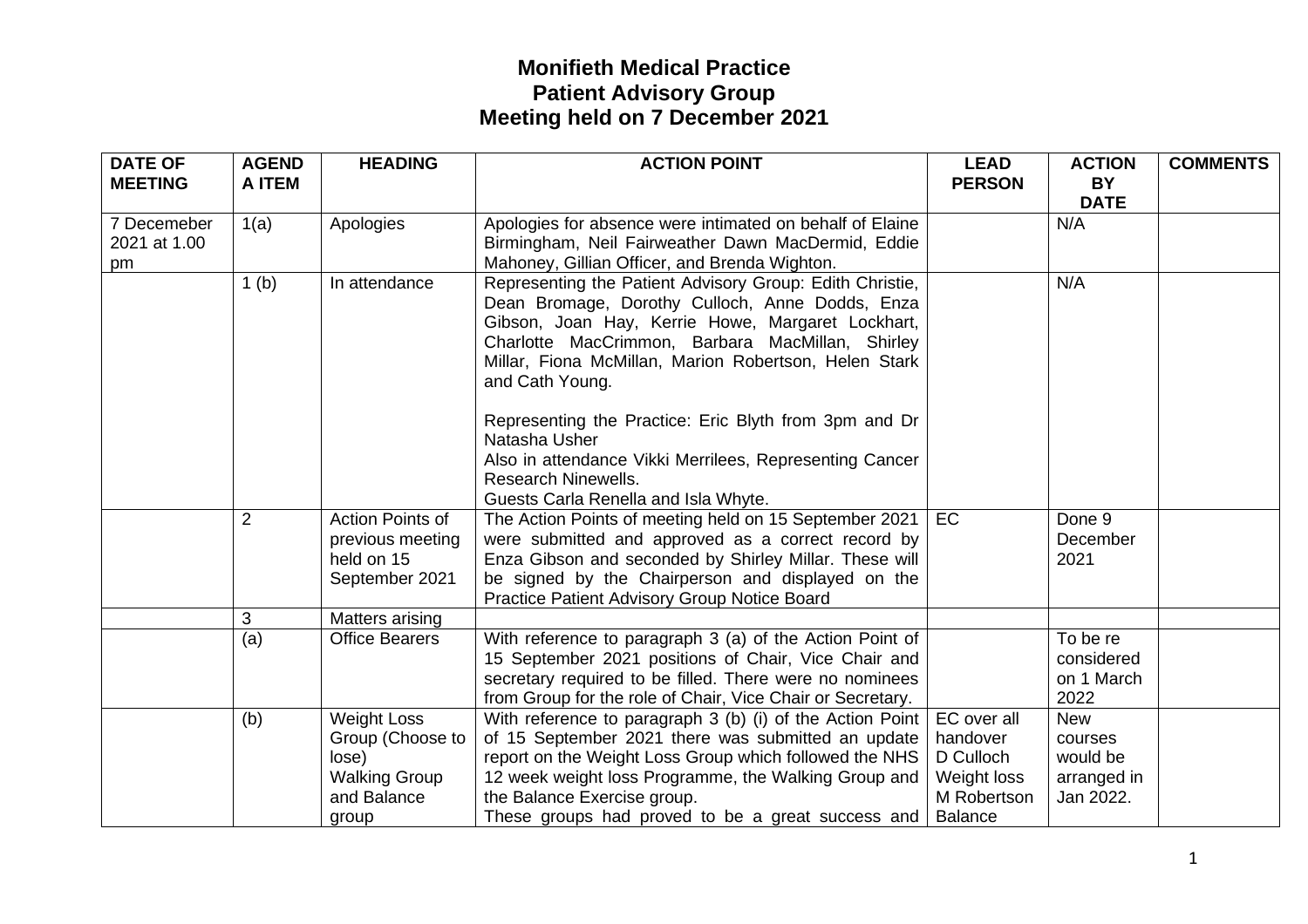| <b>DATE OF</b><br><b>MEETING</b>  | <b>AGEND</b><br><b>A ITEM</b> | <b>HEADING</b>                                                                                  | <b>ACTION POINT</b>                                                                                                                                                                                                                                                                                                   | <b>LEAD</b><br><b>PERSON</b>                                                         | <b>ACTION</b><br><b>BY</b><br><b>DATE</b>                     | <b>COMMENTS</b> |
|-----------------------------------|-------------------------------|-------------------------------------------------------------------------------------------------|-----------------------------------------------------------------------------------------------------------------------------------------------------------------------------------------------------------------------------------------------------------------------------------------------------------------------|--------------------------------------------------------------------------------------|---------------------------------------------------------------|-----------------|
| 7 Decemeber<br>2021 at 1.00<br>pm | 1(a)                          | Apologies                                                                                       | Apologies for absence were intimated on behalf of Elaine<br>Birmingham, Neil Fairweather Dawn MacDermid, Eddie<br>Mahoney, Gillian Officer, and Brenda Wighton.                                                                                                                                                       |                                                                                      | N/A                                                           |                 |
|                                   | 1 <sub>(b)</sub>              | In attendance                                                                                   | Representing the Patient Advisory Group: Edith Christie,<br>Dean Bromage, Dorothy Culloch, Anne Dodds, Enza<br>Gibson, Joan Hay, Kerrie Howe, Margaret Lockhart,<br>Charlotte MacCrimmon, Barbara MacMillan, Shirley<br>Millar, Fiona McMillan, Marion Robertson, Helen Stark<br>and Cath Young.                      |                                                                                      | N/A                                                           |                 |
|                                   |                               |                                                                                                 | Representing the Practice: Eric Blyth from 3pm and Dr<br>Natasha Usher<br>Also in attendance Vikki Merrilees, Representing Cancer<br><b>Research Ninewells.</b><br>Guests Carla Renella and Isla Whyte.                                                                                                               |                                                                                      |                                                               |                 |
|                                   | $\overline{2}$                | Action Points of<br>previous meeting<br>held on 15<br>September 2021                            | The Action Points of meeting held on 15 September 2021<br>were submitted and approved as a correct record by<br>Enza Gibson and seconded by Shirley Millar. These will<br>be signed by the Chairperson and displayed on the<br>Practice Patient Advisory Group Notice Board                                           | EC                                                                                   | Done 9<br>December<br>2021                                    |                 |
|                                   | 3                             | Matters arising                                                                                 |                                                                                                                                                                                                                                                                                                                       |                                                                                      |                                                               |                 |
|                                   | (a)                           | <b>Office Bearers</b>                                                                           | With reference to paragraph 3 (a) of the Action Point of<br>15 September 2021 positions of Chair, Vice Chair and<br>secretary required to be filled. There were no nominees<br>from Group for the role of Chair, Vice Chair or Secretary.                                                                             |                                                                                      | To be re<br>considered<br>on 1 March<br>2022                  |                 |
|                                   | (b)                           | <b>Weight Loss</b><br>Group (Choose to<br>lose)<br><b>Walking Group</b><br>and Balance<br>group | With reference to paragraph 3 (b) (i) of the Action Point<br>of 15 September 2021 there was submitted an update<br>report on the Weight Loss Group which followed the NHS<br>12 week weight loss Programme, the Walking Group and<br>the Balance Exercise group.<br>These groups had proved to be a great success and | EC over all<br>handover<br>D Culloch<br>Weight loss<br>M Robertson<br><b>Balance</b> | <b>New</b><br>courses<br>would be<br>arranged in<br>Jan 2022. |                 |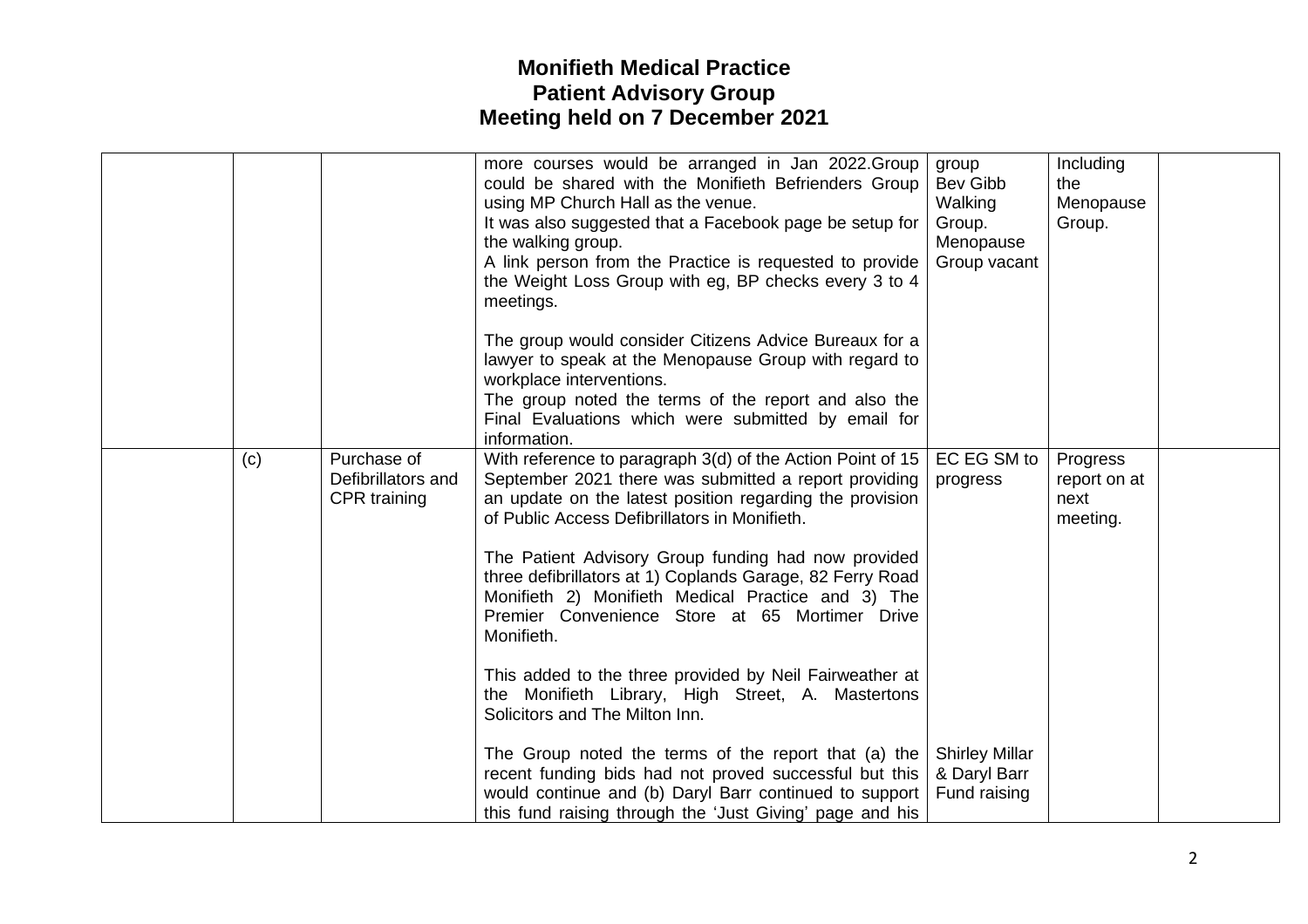|     |                                                   | the Weight Loss Group with eg, BP checks every 3 to 4<br>meetings.<br>The group would consider Citizens Advice Bureaux for a<br>lawyer to speak at the Menopause Group with regard to<br>workplace interventions.<br>The group noted the terms of the report and also the<br>Final Evaluations which were submitted by email for<br>information.                                                                                                                                                                                                                                                                                                                                                                                                                                                         |                                                                                  |                                              |  |
|-----|---------------------------------------------------|----------------------------------------------------------------------------------------------------------------------------------------------------------------------------------------------------------------------------------------------------------------------------------------------------------------------------------------------------------------------------------------------------------------------------------------------------------------------------------------------------------------------------------------------------------------------------------------------------------------------------------------------------------------------------------------------------------------------------------------------------------------------------------------------------------|----------------------------------------------------------------------------------|----------------------------------------------|--|
| (c) | Purchase of<br>Defibrillators and<br>CPR training | With reference to paragraph 3(d) of the Action Point of 15<br>September 2021 there was submitted a report providing<br>an update on the latest position regarding the provision<br>of Public Access Defibrillators in Monifieth.<br>The Patient Advisory Group funding had now provided<br>three defibrillators at 1) Coplands Garage, 82 Ferry Road<br>Monifieth 2) Monifieth Medical Practice and 3) The<br>Premier Convenience Store at 65 Mortimer Drive<br>Monifieth.<br>This added to the three provided by Neil Fairweather at<br>the Monifieth Library, High Street, A. Mastertons<br>Solicitors and The Milton Inn.<br>The Group noted the terms of the report that (a) the<br>recent funding bids had not proved successful but this<br>would continue and (b) Daryl Barr continued to support | EC EG SM to<br>progress<br><b>Shirley Millar</b><br>& Daryl Barr<br>Fund raising | Progress<br>report on at<br>next<br>meeting. |  |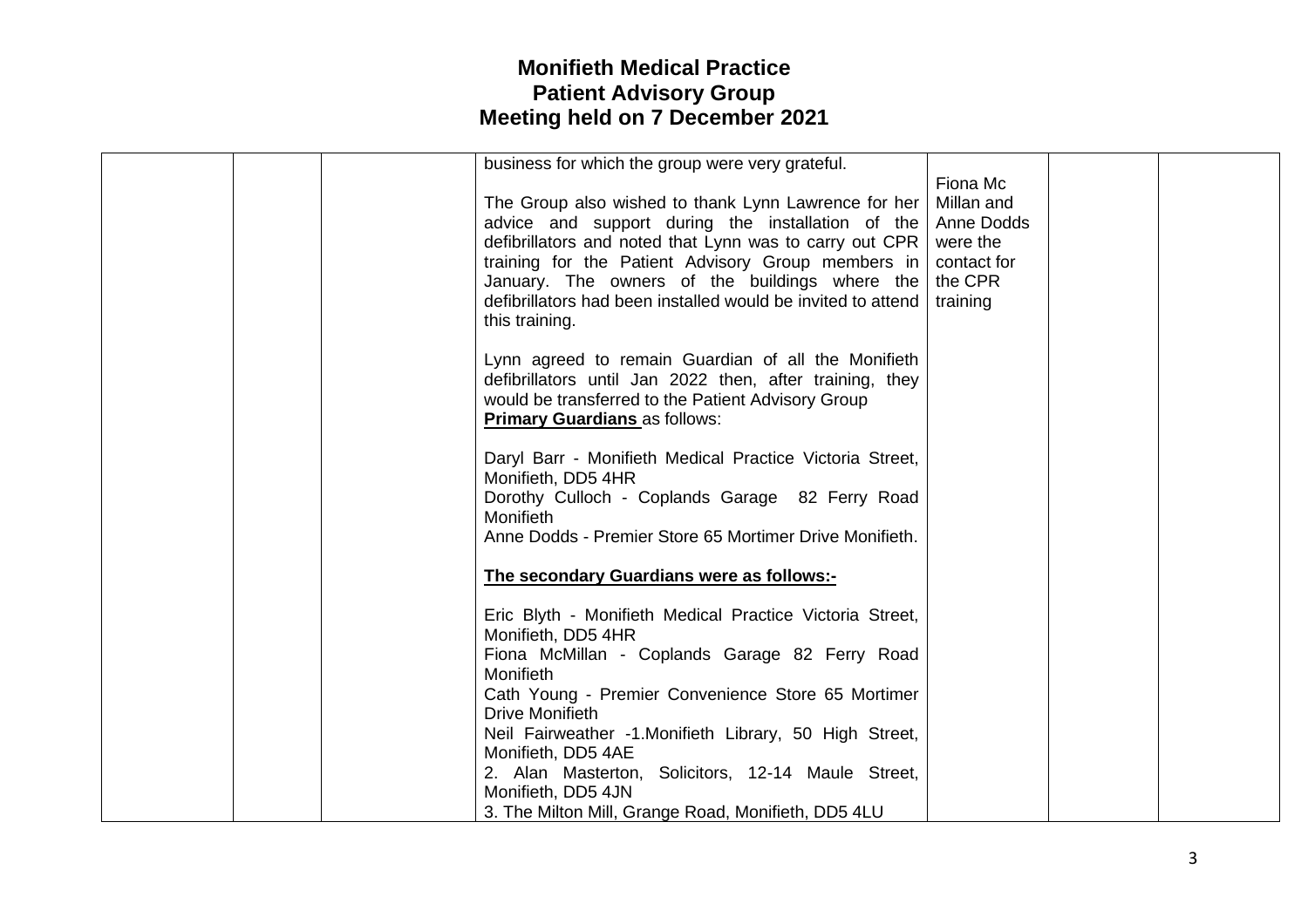| business for which the group were very grateful.             |             |  |
|--------------------------------------------------------------|-------------|--|
|                                                              | Fiona Mc    |  |
| The Group also wished to thank Lynn Lawrence for her         | Millan and  |  |
| advice and support during the installation of the            | Anne Dodds  |  |
| defibrillators and noted that Lynn was to carry out CPR      | were the    |  |
| training for the Patient Advisory Group members in           | contact for |  |
| January. The owners of the buildings where the               | the CPR     |  |
| defibrillators had been installed would be invited to attend | training    |  |
| this training.                                               |             |  |
|                                                              |             |  |
| Lynn agreed to remain Guardian of all the Monifieth          |             |  |
| defibrillators until Jan 2022 then, after training, they     |             |  |
| would be transferred to the Patient Advisory Group           |             |  |
| <b>Primary Guardians as follows:</b>                         |             |  |
|                                                              |             |  |
| Daryl Barr - Monifieth Medical Practice Victoria Street,     |             |  |
| Monifieth, DD5 4HR                                           |             |  |
| Dorothy Culloch - Coplands Garage 82 Ferry Road              |             |  |
| Monifieth                                                    |             |  |
| Anne Dodds - Premier Store 65 Mortimer Drive Monifieth.      |             |  |
|                                                              |             |  |
| The secondary Guardians were as follows:-                    |             |  |
| Eric Blyth - Monifieth Medical Practice Victoria Street,     |             |  |
| Monifieth, DD5 4HR                                           |             |  |
| Fiona McMillan - Coplands Garage 82 Ferry Road               |             |  |
| Monifieth                                                    |             |  |
| Cath Young - Premier Convenience Store 65 Mortimer           |             |  |
| <b>Drive Monifieth</b>                                       |             |  |
| Neil Fairweather -1. Monifieth Library, 50 High Street,      |             |  |
| Monifieth, DD5 4AE                                           |             |  |
| 2. Alan Masterton, Solicitors, 12-14 Maule Street,           |             |  |
| Monifieth, DD5 4JN                                           |             |  |
| 3. The Milton Mill, Grange Road, Monifieth, DD5 4LU          |             |  |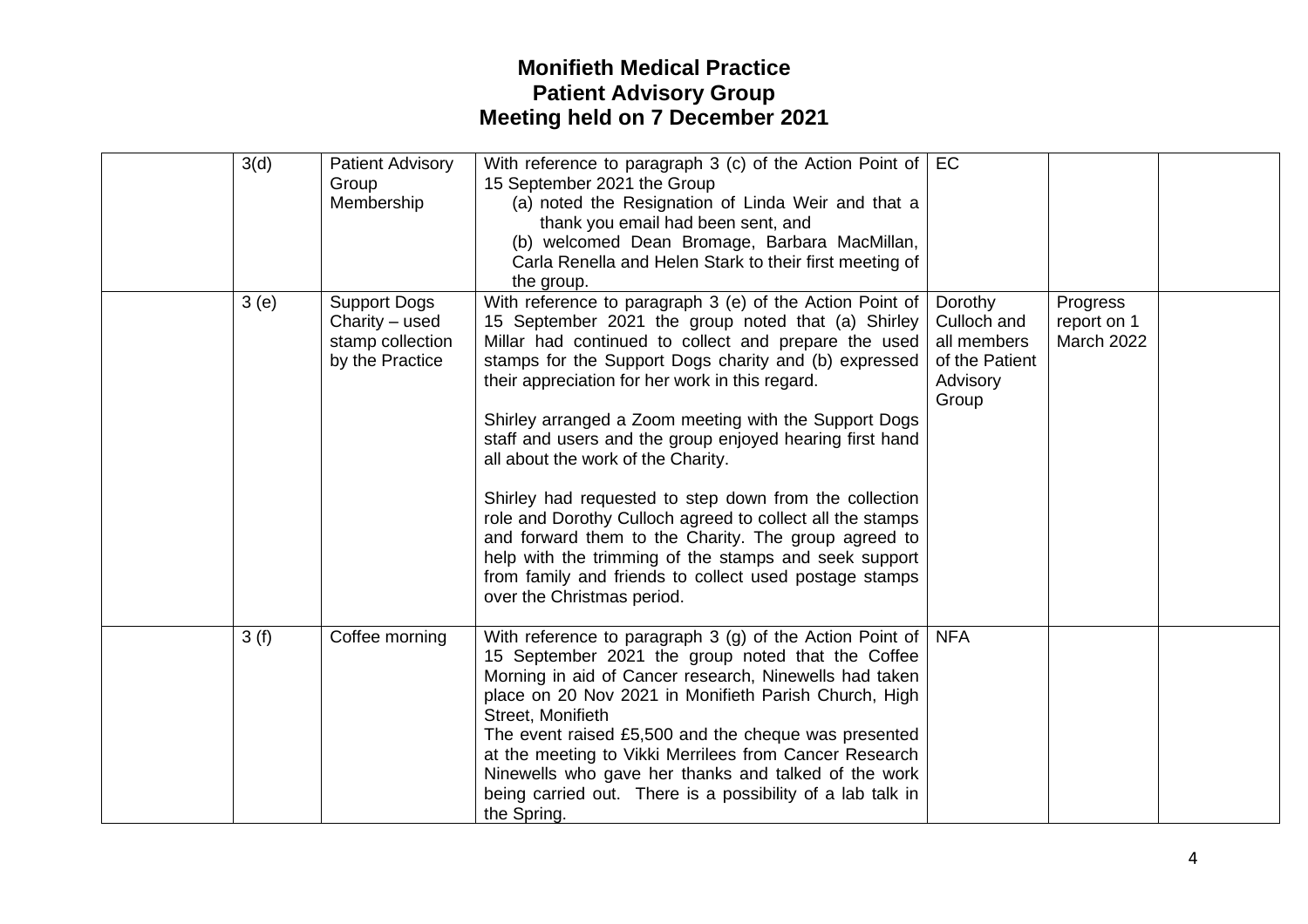| 3(d) | <b>Patient Advisory</b><br>Group<br>Membership                                 | With reference to paragraph 3 (c) of the Action Point of $\vert$ EC<br>15 September 2021 the Group<br>(a) noted the Resignation of Linda Weir and that a<br>thank you email had been sent, and<br>(b) welcomed Dean Bromage, Barbara MacMillan,<br>Carla Renella and Helen Stark to their first meeting of<br>the group.                                                                                                                                                                                                                                                                                                                                                                                                                                                      |                                                                              |                                              |  |
|------|--------------------------------------------------------------------------------|-------------------------------------------------------------------------------------------------------------------------------------------------------------------------------------------------------------------------------------------------------------------------------------------------------------------------------------------------------------------------------------------------------------------------------------------------------------------------------------------------------------------------------------------------------------------------------------------------------------------------------------------------------------------------------------------------------------------------------------------------------------------------------|------------------------------------------------------------------------------|----------------------------------------------|--|
| 3(e) | <b>Support Dogs</b><br>Charity $-$ used<br>stamp collection<br>by the Practice | With reference to paragraph 3 (e) of the Action Point of<br>15 September 2021 the group noted that (a) Shirley<br>Millar had continued to collect and prepare the used<br>stamps for the Support Dogs charity and (b) expressed<br>their appreciation for her work in this regard.<br>Shirley arranged a Zoom meeting with the Support Dogs<br>staff and users and the group enjoyed hearing first hand<br>all about the work of the Charity.<br>Shirley had requested to step down from the collection<br>role and Dorothy Culloch agreed to collect all the stamps<br>and forward them to the Charity. The group agreed to<br>help with the trimming of the stamps and seek support<br>from family and friends to collect used postage stamps<br>over the Christmas period. | Dorothy<br>Culloch and<br>all members<br>of the Patient<br>Advisory<br>Group | Progress<br>report on 1<br><b>March 2022</b> |  |
| 3(f) | Coffee morning                                                                 | With reference to paragraph 3 (g) of the Action Point of $\vert$ NFA<br>15 September 2021 the group noted that the Coffee<br>Morning in aid of Cancer research, Ninewells had taken<br>place on 20 Nov 2021 in Monifieth Parish Church, High<br>Street, Monifieth<br>The event raised £5,500 and the cheque was presented<br>at the meeting to Vikki Merrilees from Cancer Research<br>Ninewells who gave her thanks and talked of the work<br>being carried out. There is a possibility of a lab talk in<br>the Spring.                                                                                                                                                                                                                                                      |                                                                              |                                              |  |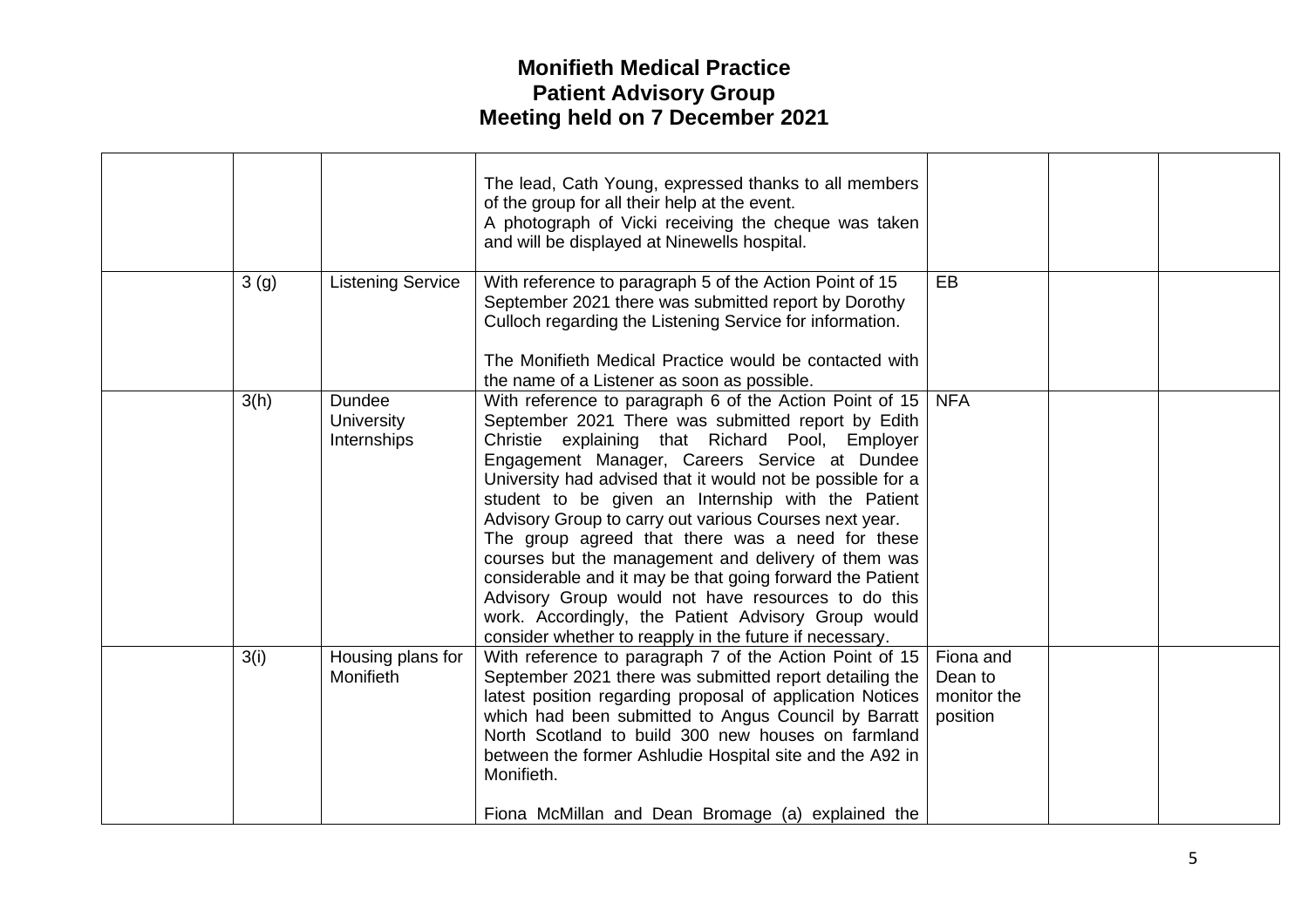|                  |                                     | The lead, Cath Young, expressed thanks to all members<br>of the group for all their help at the event.<br>A photograph of Vicki receiving the cheque was taken<br>and will be displayed at Ninewells hospital.                                                                                                                                                                                                                                                                                                                                                                                                                                                                                                                                  |                                                 |  |
|------------------|-------------------------------------|-------------------------------------------------------------------------------------------------------------------------------------------------------------------------------------------------------------------------------------------------------------------------------------------------------------------------------------------------------------------------------------------------------------------------------------------------------------------------------------------------------------------------------------------------------------------------------------------------------------------------------------------------------------------------------------------------------------------------------------------------|-------------------------------------------------|--|
| 3 <sub>(g)</sub> | <b>Listening Service</b>            | With reference to paragraph 5 of the Action Point of 15<br>September 2021 there was submitted report by Dorothy<br>Culloch regarding the Listening Service for information.<br>The Monifieth Medical Practice would be contacted with<br>the name of a Listener as soon as possible.                                                                                                                                                                                                                                                                                                                                                                                                                                                            | EB                                              |  |
| 3(h)             | Dundee<br>University<br>Internships | With reference to paragraph 6 of the Action Point of 15<br>September 2021 There was submitted report by Edith<br>Christie explaining that Richard Pool, Employer<br>Engagement Manager, Careers Service at Dundee<br>University had advised that it would not be possible for a<br>student to be given an Internship with the Patient<br>Advisory Group to carry out various Courses next year.<br>The group agreed that there was a need for these<br>courses but the management and delivery of them was<br>considerable and it may be that going forward the Patient<br>Advisory Group would not have resources to do this<br>work. Accordingly, the Patient Advisory Group would<br>consider whether to reapply in the future if necessary. | <b>NFA</b>                                      |  |
| 3(i)             | Housing plans for<br>Monifieth      | With reference to paragraph 7 of the Action Point of 15<br>September 2021 there was submitted report detailing the<br>latest position regarding proposal of application Notices<br>which had been submitted to Angus Council by Barratt<br>North Scotland to build 300 new houses on farmland<br>between the former Ashludie Hospital site and the A92 in<br>Monifieth.<br>Fiona McMillan and Dean Bromage (a) explained the                                                                                                                                                                                                                                                                                                                    | Fiona and<br>Dean to<br>monitor the<br>position |  |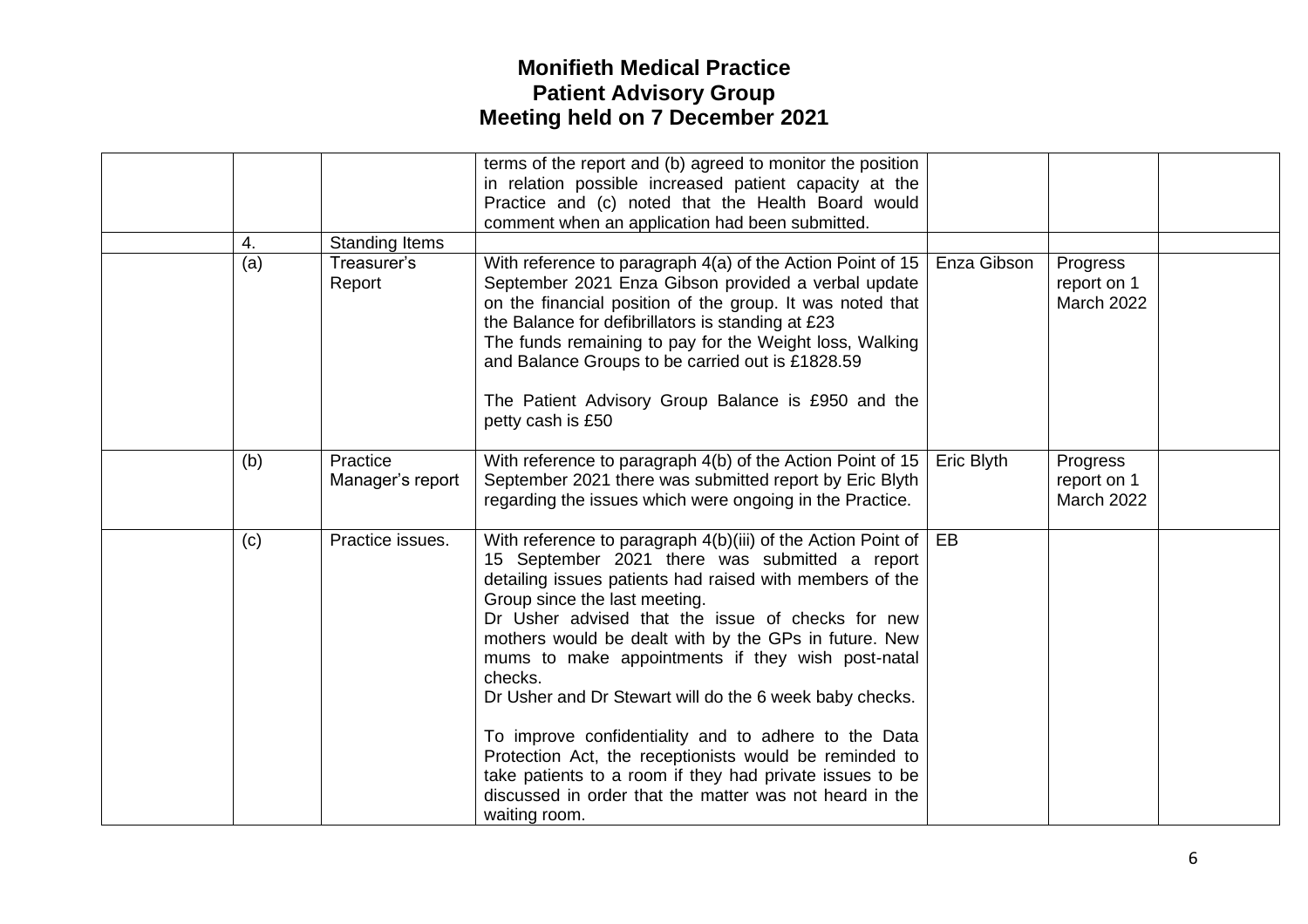|     |                              | terms of the report and (b) agreed to monitor the position<br>in relation possible increased patient capacity at the                                                                                                                                                                                                                                                                                                                                                                                                                                                                                                                                                                                                     |             |                                              |  |
|-----|------------------------------|--------------------------------------------------------------------------------------------------------------------------------------------------------------------------------------------------------------------------------------------------------------------------------------------------------------------------------------------------------------------------------------------------------------------------------------------------------------------------------------------------------------------------------------------------------------------------------------------------------------------------------------------------------------------------------------------------------------------------|-------------|----------------------------------------------|--|
|     |                              | Practice and (c) noted that the Health Board would<br>comment when an application had been submitted.                                                                                                                                                                                                                                                                                                                                                                                                                                                                                                                                                                                                                    |             |                                              |  |
| 4.  | <b>Standing Items</b>        |                                                                                                                                                                                                                                                                                                                                                                                                                                                                                                                                                                                                                                                                                                                          |             |                                              |  |
| (a) | Treasurer's<br>Report        | With reference to paragraph 4(a) of the Action Point of 15<br>September 2021 Enza Gibson provided a verbal update<br>on the financial position of the group. It was noted that<br>the Balance for defibrillators is standing at £23<br>The funds remaining to pay for the Weight loss, Walking<br>and Balance Groups to be carried out is £1828.59<br>The Patient Advisory Group Balance is £950 and the<br>petty cash is £50                                                                                                                                                                                                                                                                                            | Enza Gibson | Progress<br>report on 1<br>March 2022        |  |
| (b) | Practice<br>Manager's report | With reference to paragraph 4(b) of the Action Point of 15<br>September 2021 there was submitted report by Eric Blyth<br>regarding the issues which were ongoing in the Practice.                                                                                                                                                                                                                                                                                                                                                                                                                                                                                                                                        | Eric Blyth  | Progress<br>report on 1<br><b>March 2022</b> |  |
| (c) | Practice issues.             | With reference to paragraph $4(b)(iii)$ of the Action Point of $\vert$<br>15 September 2021 there was submitted a report<br>detailing issues patients had raised with members of the<br>Group since the last meeting.<br>Dr Usher advised that the issue of checks for new<br>mothers would be dealt with by the GPs in future. New<br>mums to make appointments if they wish post-natal<br>checks.<br>Dr Usher and Dr Stewart will do the 6 week baby checks.<br>To improve confidentiality and to adhere to the Data<br>Protection Act, the receptionists would be reminded to<br>take patients to a room if they had private issues to be<br>discussed in order that the matter was not heard in the<br>waiting room. | EB          |                                              |  |